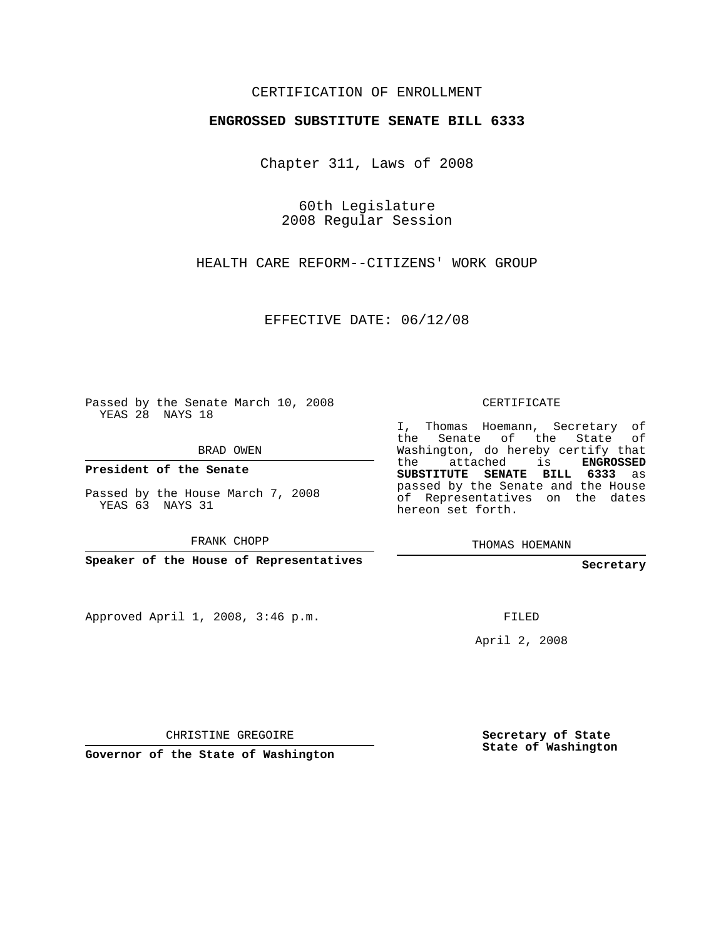## CERTIFICATION OF ENROLLMENT

## **ENGROSSED SUBSTITUTE SENATE BILL 6333**

Chapter 311, Laws of 2008

60th Legislature 2008 Regular Session

HEALTH CARE REFORM--CITIZENS' WORK GROUP

EFFECTIVE DATE: 06/12/08

Passed by the Senate March 10, 2008 YEAS 28 NAYS 18

BRAD OWEN

**President of the Senate**

Passed by the House March 7, 2008 YEAS 63 NAYS 31

FRANK CHOPP

**Speaker of the House of Representatives**

Approved April 1, 2008, 3:46 p.m.

CERTIFICATE

I, Thomas Hoemann, Secretary of the Senate of the State of Washington, do hereby certify that the attached is **ENGROSSED SUBSTITUTE SENATE BILL 6333** as passed by the Senate and the House of Representatives on the dates hereon set forth.

THOMAS HOEMANN

**Secretary**

FILED

April 2, 2008

CHRISTINE GREGOIRE

**Governor of the State of Washington**

**Secretary of State State of Washington**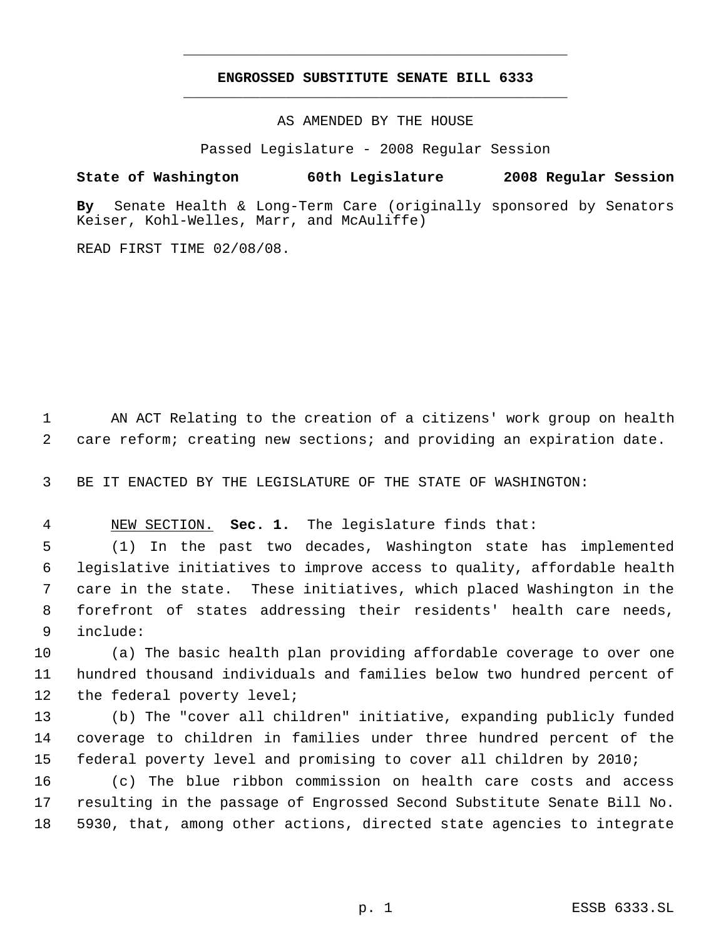## **ENGROSSED SUBSTITUTE SENATE BILL 6333** \_\_\_\_\_\_\_\_\_\_\_\_\_\_\_\_\_\_\_\_\_\_\_\_\_\_\_\_\_\_\_\_\_\_\_\_\_\_\_\_\_\_\_\_\_

\_\_\_\_\_\_\_\_\_\_\_\_\_\_\_\_\_\_\_\_\_\_\_\_\_\_\_\_\_\_\_\_\_\_\_\_\_\_\_\_\_\_\_\_\_

AS AMENDED BY THE HOUSE

Passed Legislature - 2008 Regular Session

**State of Washington 60th Legislature 2008 Regular Session**

**By** Senate Health & Long-Term Care (originally sponsored by Senators Keiser, Kohl-Welles, Marr, and McAuliffe)

READ FIRST TIME 02/08/08.

 AN ACT Relating to the creation of a citizens' work group on health care reform; creating new sections; and providing an expiration date.

BE IT ENACTED BY THE LEGISLATURE OF THE STATE OF WASHINGTON:

NEW SECTION. **Sec. 1.** The legislature finds that:

 (1) In the past two decades, Washington state has implemented legislative initiatives to improve access to quality, affordable health care in the state. These initiatives, which placed Washington in the forefront of states addressing their residents' health care needs, include:

 (a) The basic health plan providing affordable coverage to over one hundred thousand individuals and families below two hundred percent of 12 the federal poverty level;

 (b) The "cover all children" initiative, expanding publicly funded coverage to children in families under three hundred percent of the federal poverty level and promising to cover all children by 2010;

 (c) The blue ribbon commission on health care costs and access resulting in the passage of Engrossed Second Substitute Senate Bill No. 5930, that, among other actions, directed state agencies to integrate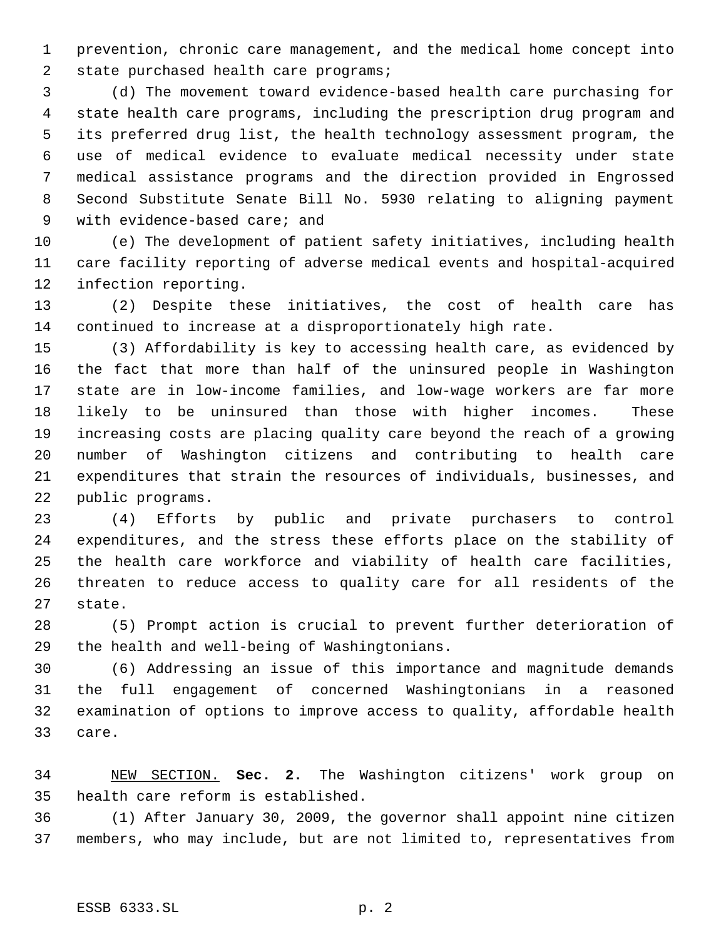prevention, chronic care management, and the medical home concept into 2 state purchased health care programs;

 (d) The movement toward evidence-based health care purchasing for state health care programs, including the prescription drug program and its preferred drug list, the health technology assessment program, the use of medical evidence to evaluate medical necessity under state medical assistance programs and the direction provided in Engrossed Second Substitute Senate Bill No. 5930 relating to aligning payment with evidence-based care; and

 (e) The development of patient safety initiatives, including health care facility reporting of adverse medical events and hospital-acquired infection reporting.

 (2) Despite these initiatives, the cost of health care has continued to increase at a disproportionately high rate.

 (3) Affordability is key to accessing health care, as evidenced by the fact that more than half of the uninsured people in Washington state are in low-income families, and low-wage workers are far more likely to be uninsured than those with higher incomes. These increasing costs are placing quality care beyond the reach of a growing number of Washington citizens and contributing to health care expenditures that strain the resources of individuals, businesses, and public programs.

 (4) Efforts by public and private purchasers to control expenditures, and the stress these efforts place on the stability of the health care workforce and viability of health care facilities, threaten to reduce access to quality care for all residents of the state.

 (5) Prompt action is crucial to prevent further deterioration of the health and well-being of Washingtonians.

 (6) Addressing an issue of this importance and magnitude demands the full engagement of concerned Washingtonians in a reasoned examination of options to improve access to quality, affordable health care.

 NEW SECTION. **Sec. 2.** The Washington citizens' work group on health care reform is established.

 (1) After January 30, 2009, the governor shall appoint nine citizen members, who may include, but are not limited to, representatives from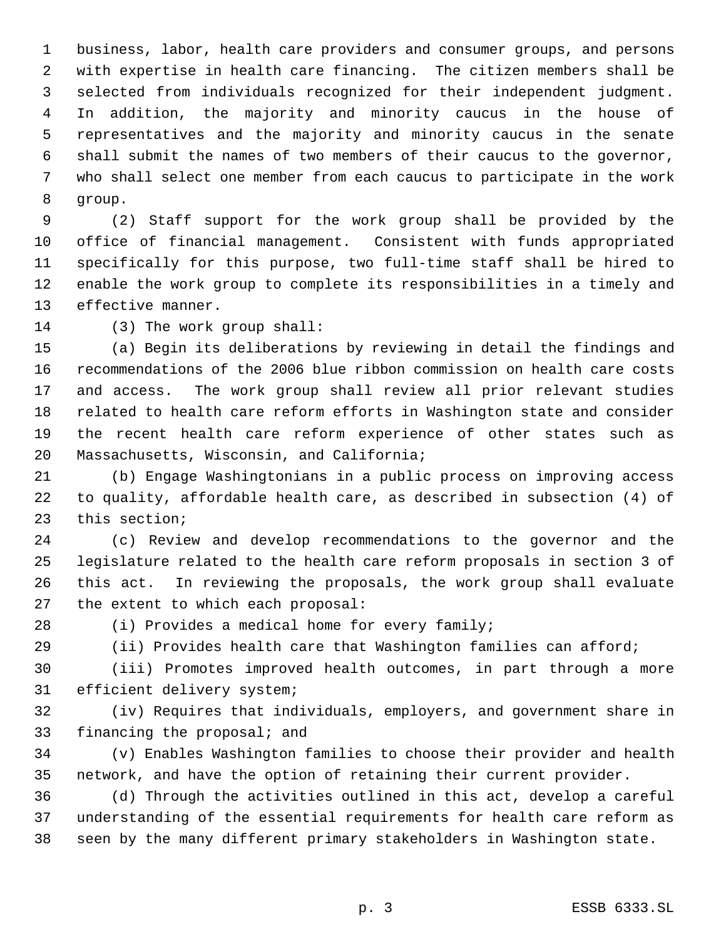business, labor, health care providers and consumer groups, and persons with expertise in health care financing. The citizen members shall be selected from individuals recognized for their independent judgment. In addition, the majority and minority caucus in the house of representatives and the majority and minority caucus in the senate shall submit the names of two members of their caucus to the governor, who shall select one member from each caucus to participate in the work group.

 (2) Staff support for the work group shall be provided by the office of financial management. Consistent with funds appropriated specifically for this purpose, two full-time staff shall be hired to enable the work group to complete its responsibilities in a timely and effective manner.

(3) The work group shall:

 (a) Begin its deliberations by reviewing in detail the findings and recommendations of the 2006 blue ribbon commission on health care costs and access. The work group shall review all prior relevant studies related to health care reform efforts in Washington state and consider the recent health care reform experience of other states such as Massachusetts, Wisconsin, and California;

 (b) Engage Washingtonians in a public process on improving access to quality, affordable health care, as described in subsection (4) of this section;

 (c) Review and develop recommendations to the governor and the legislature related to the health care reform proposals in section 3 of this act. In reviewing the proposals, the work group shall evaluate the extent to which each proposal:

(i) Provides a medical home for every family;

(ii) Provides health care that Washington families can afford;

 (iii) Promotes improved health outcomes, in part through a more efficient delivery system;

 (iv) Requires that individuals, employers, and government share in financing the proposal; and

 (v) Enables Washington families to choose their provider and health network, and have the option of retaining their current provider.

 (d) Through the activities outlined in this act, develop a careful understanding of the essential requirements for health care reform as seen by the many different primary stakeholders in Washington state.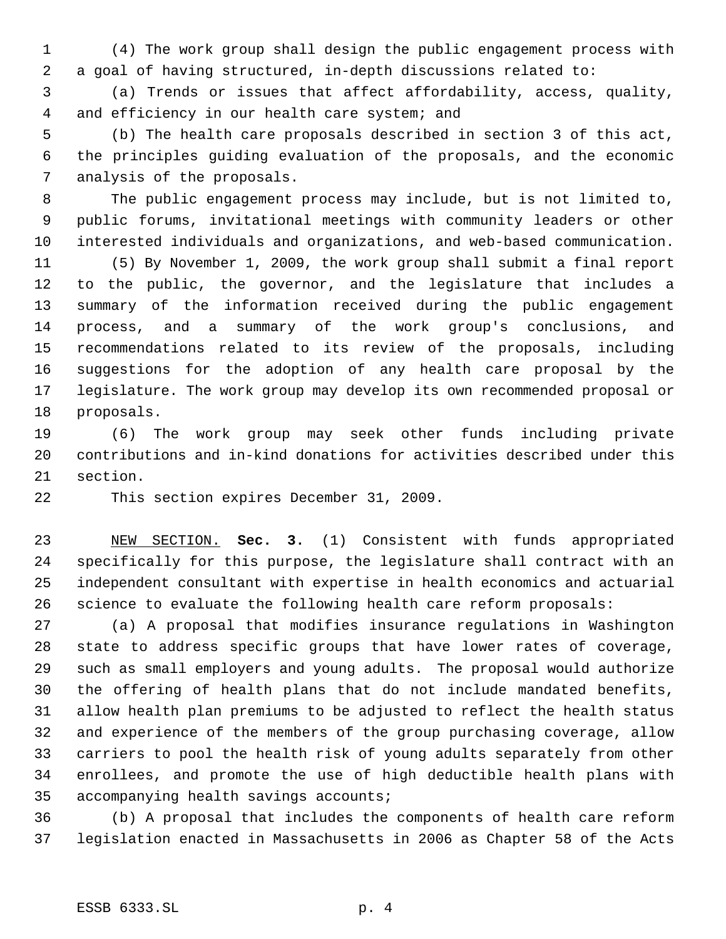(4) The work group shall design the public engagement process with a goal of having structured, in-depth discussions related to:

 (a) Trends or issues that affect affordability, access, quality, and efficiency in our health care system; and

 (b) The health care proposals described in section 3 of this act, the principles guiding evaluation of the proposals, and the economic analysis of the proposals.

 The public engagement process may include, but is not limited to, public forums, invitational meetings with community leaders or other interested individuals and organizations, and web-based communication.

 (5) By November 1, 2009, the work group shall submit a final report to the public, the governor, and the legislature that includes a summary of the information received during the public engagement process, and a summary of the work group's conclusions, and recommendations related to its review of the proposals, including suggestions for the adoption of any health care proposal by the legislature. The work group may develop its own recommended proposal or proposals.

 (6) The work group may seek other funds including private contributions and in-kind donations for activities described under this section.

This section expires December 31, 2009.

 NEW SECTION. **Sec. 3.** (1) Consistent with funds appropriated specifically for this purpose, the legislature shall contract with an independent consultant with expertise in health economics and actuarial science to evaluate the following health care reform proposals:

 (a) A proposal that modifies insurance regulations in Washington state to address specific groups that have lower rates of coverage, such as small employers and young adults. The proposal would authorize the offering of health plans that do not include mandated benefits, allow health plan premiums to be adjusted to reflect the health status and experience of the members of the group purchasing coverage, allow carriers to pool the health risk of young adults separately from other enrollees, and promote the use of high deductible health plans with accompanying health savings accounts;

 (b) A proposal that includes the components of health care reform legislation enacted in Massachusetts in 2006 as Chapter 58 of the Acts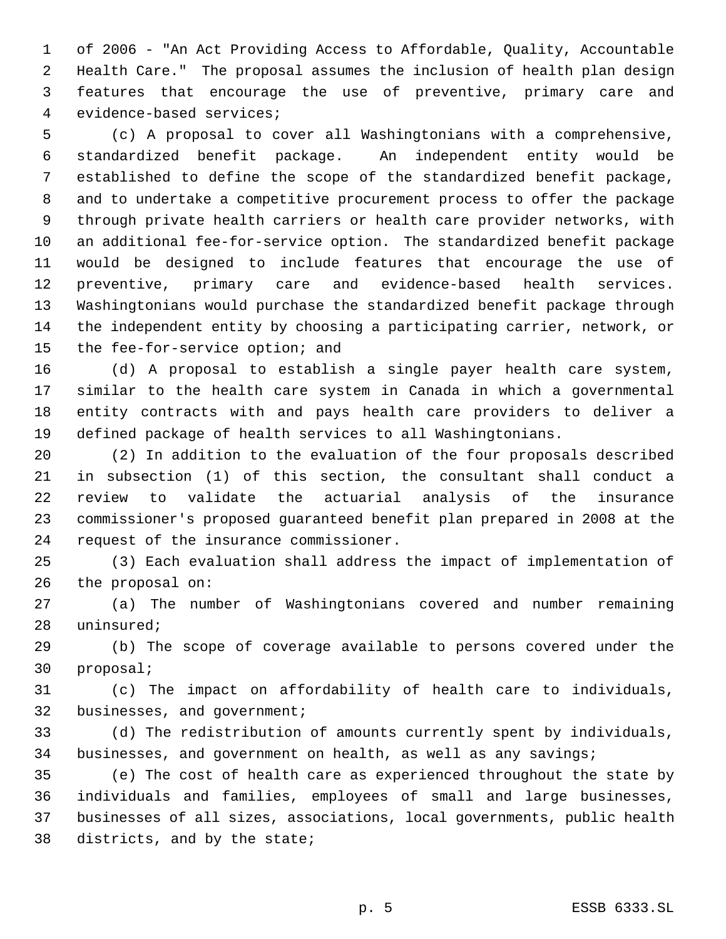of 2006 - "An Act Providing Access to Affordable, Quality, Accountable Health Care." The proposal assumes the inclusion of health plan design features that encourage the use of preventive, primary care and evidence-based services;

 (c) A proposal to cover all Washingtonians with a comprehensive, standardized benefit package. An independent entity would be established to define the scope of the standardized benefit package, and to undertake a competitive procurement process to offer the package through private health carriers or health care provider networks, with an additional fee-for-service option. The standardized benefit package would be designed to include features that encourage the use of preventive, primary care and evidence-based health services. Washingtonians would purchase the standardized benefit package through the independent entity by choosing a participating carrier, network, or the fee-for-service option; and

 (d) A proposal to establish a single payer health care system, similar to the health care system in Canada in which a governmental entity contracts with and pays health care providers to deliver a defined package of health services to all Washingtonians.

 (2) In addition to the evaluation of the four proposals described in subsection (1) of this section, the consultant shall conduct a review to validate the actuarial analysis of the insurance commissioner's proposed guaranteed benefit plan prepared in 2008 at the request of the insurance commissioner.

 (3) Each evaluation shall address the impact of implementation of the proposal on:

 (a) The number of Washingtonians covered and number remaining uninsured;

 (b) The scope of coverage available to persons covered under the proposal;

 (c) The impact on affordability of health care to individuals, businesses, and government;

 (d) The redistribution of amounts currently spent by individuals, businesses, and government on health, as well as any savings;

 (e) The cost of health care as experienced throughout the state by individuals and families, employees of small and large businesses, businesses of all sizes, associations, local governments, public health districts, and by the state;